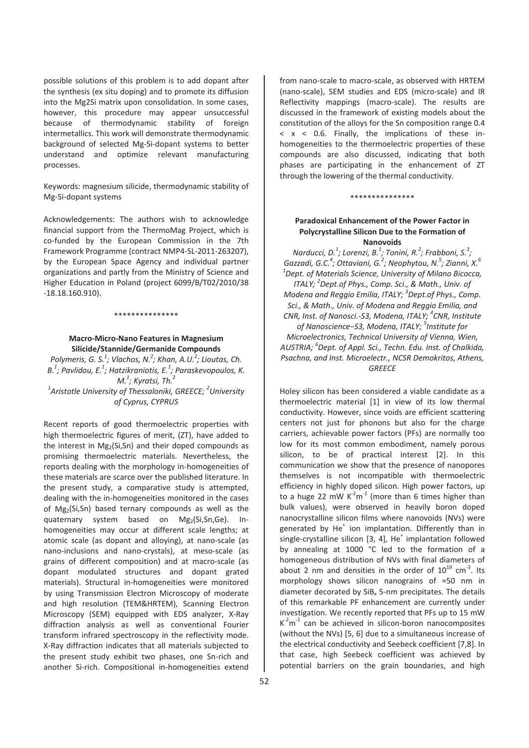possible solutions of this problem is to add dopant after the synthesis (ex situ doping) and to promote its diffusion into the Mg2Si matrix upon consolidation. In some cases, however, this procedure may appear unsuccessful because of thermodynamic stability of foreign intermetallics. This work will demonstrate thermodynamic background of selected Mg-Si-dopant systems to better understand and optimize relevant manufacturing processes.

Keywords: magnesium silicide, thermodynamic stability of Mg-Si-dopant systems

Acknowledgements: The authors wish to acknowledge financial support from the ThermoMag Project, which is co-funded by the European Commission in the 7th Framework Programme (contract NMP4-SL-2011-263207), by the European Space Agency and individual partner organizations and partly from the Ministry of Science and Higher Education in Poland (project 6099/B/T02/2010/38 Ͳ18.18.160.910).

## \*\*\*\*\*\*\*\*\*\*\*\*\*\*\*

## **MacroͲMicroͲNano Features in Magnesium Silicide/Stannide/Germanide Compounds**

*Polymeris, G. S.1 ; Vlachos, N.2 ; Khan, A.U.2 ; Lioutas, Ch. B.1 ; Pavlidou, E.<sup>1</sup> ; Hatzikraniotis, E.<sup>1</sup> ; Paraskevopoulos, K. M.1 ; Kyratsi, Th.<sup>2</sup> 1 Aristotle University of Thessaloniki, GREECE; <sup>2</sup> University of Cyprus, CYPRUS*

Recent reports of good thermoelectric properties with high thermoelectric figures of merit, (ZT), have added to the interest in  $Mg_2(Si,Sn)$  and their doped compounds as promising thermoelectric materials. Nevertheless, the reports dealing with the morphology in-homogeneities of these materials are scarce over the published literature. In the present study, a comparative study is attempted, dealing with the in-homogeneities monitored in the cases of  $Mg<sub>2</sub>(Si,Sn)$  based ternary compounds as well as the quaternary system based on Mg2(Si,Sn,Ge). Inhomogeneities may occur at different scale lengths; at atomic scale (as dopant and alloying), at nano-scale (as nano-inclusions and nano-crystals), at meso-scale (as grains of different composition) and at macro-scale (as dopant modulated structures and dopant grated materials). Structural in-homogeneities were monitored by using Transmission Electron Microscopy of moderate and high resolution (TEM&HRTEM), Scanning Electron Microscopy (SEM) equipped with EDS analyzer, X-Ray diffraction analysis as well as conventional Fourier transform infrared spectroscopy in the reflectivity mode. X-Ray diffraction indicates that all materials subjected to the present study exhibit two phases, one Sn-rich and another Si-rich. Compositional in-homogeneities extend

from nano-scale to macro-scale, as observed with HRTEM (nano-scale), SEM studies and EDS (micro-scale) and IR Reflectivity mappings (macro-scale). The results are discussed in the framework of existing models about the constitution of the alloys for the Sn composition range 0.4  $< x < 0.6$ . Finally, the implications of these inhomogeneities to the thermoelectric properties of these compounds are also discussed, indicating that both phases are participating in the enhancement of ZT through the lowering of the thermal conductivity.

### \*\*\*\*\*\*\*\*\*\*\*\*\*\*\*

# **Paradoxical Enhancement of the Power Factor in Polycrystalline Silicon Due to the Formation of Nanovoids**

*Narducci, D.1 ; Lorenzi, B.1 ; Tonini, R.2 ; Frabboni, S.3 ; Gazzadi, G.C.<sup>4</sup> ; Ottaviani, G.2 ; Neophytou, N.5 ; Zianni, X.6 1 Dept. of Materials Science, University of Milano Bicocca, ITALY; <sup>2</sup> Dept.of Phys., Comp. Sci., & Math., Univ. of Modena and Reggio Emilia, ITALY; <sup>3</sup> Dept.of Phys., Comp. Sci., & Math., Univ. of Modena and Reggio Emilia, and CNR, Inst. of Nanosci.ͲS3, Modena, ITALY; <sup>4</sup> CNR, Institute of NanoscienceоS3, Modena, ITALY; <sup>5</sup> Institute for Microelectronics, Technical University of Vienna, Wien, AUSTRIA; <sup>6</sup> Dept. of Appl. Sci., Techn. Edu. Inst. of Chalkida, Psachna, and Inst. Microelectr., NCSR Demokritos, Athens, GREECE*

Holey silicon has been considered a viable candidate as a thermoelectric material [1] in view of its low thermal conductivity. However, since voids are efficient scattering centers not just for phonons but also for the charge carriers, achievable power factors (PFs) are normally too low for its most common embodiment, namely porous silicon, to be of practical interest [2]. In this communication we show that the presence of nanopores themselves is not incompatible with thermoelectric efficiency in highly doped silicon. High power factors, up to a huge 22 mW  $K<sup>2</sup>m<sup>-1</sup>$  (more than 6 times higher than bulk values), were observed in heavily boron doped nanocrystalline silicon films where nanovoids (NVs) were generated by He $^+$  ion implantation. Differently than in single-crystalline silicon  $[3, 4]$ , He<sup>+</sup> implantation followed by annealing at 1000 °C led to the formation of a homogeneous distribution of NVs with final diameters of about 2 nm and densities in the order of  $10^{19}$  cm<sup>-3</sup>. Its morphology shows silicon nanograins of  $\approx 50$  nm in diameter decorated by  $SiB<sub>x</sub>$  5-nm precipitates. The details of this remarkable PF enhancement are currently under investigation. We recently reported that PFs up to 15 mW  $K<sup>2</sup>m<sup>-1</sup>$  can be achieved in silicon-boron nanocomposites (without the NVs) [5, 6] due to a simultaneous increase of the electrical conductivity and Seebeck coefficient [7,8]. In that case, high Seebeck coefficient was achieved by potential barriers on the grain boundaries, and high